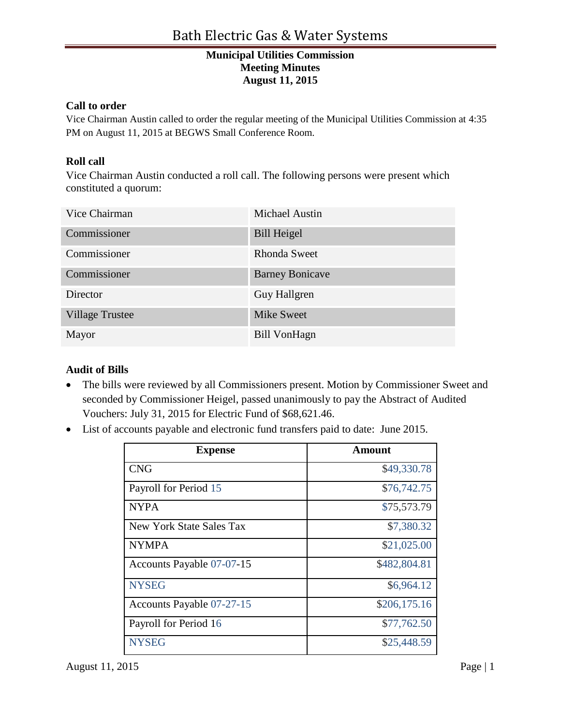### **Call to order**

Vice Chairman Austin called to order the regular meeting of the Municipal Utilities Commission at 4:35 PM on August 11, 2015 at BEGWS Small Conference Room.

## **Roll call**

Vice Chairman Austin conducted a roll call. The following persons were present which constituted a quorum:

| Vice Chairman          | <b>Michael Austin</b>  |
|------------------------|------------------------|
| Commissioner           | <b>Bill Heigel</b>     |
| Commissioner           | <b>Rhonda Sweet</b>    |
| Commissioner           | <b>Barney Bonicave</b> |
| Director               | Guy Hallgren           |
| <b>Village Trustee</b> | <b>Mike Sweet</b>      |
| Mayor                  | Bill VonHagn           |

## **Audit of Bills**

- The bills were reviewed by all Commissioners present. Motion by Commissioner Sweet and seconded by Commissioner Heigel, passed unanimously to pay the Abstract of Audited Vouchers: July 31, 2015 for Electric Fund of \$68,621.46.
- List of accounts payable and electronic fund transfers paid to date: June 2015.

| <b>Expense</b>                  | Amount       |
|---------------------------------|--------------|
| <b>CNG</b>                      | \$49,330.78  |
| Payroll for Period 15           | \$76,742.75  |
| <b>NYPA</b>                     | \$75,573.79  |
| <b>New York State Sales Tax</b> | \$7,380.32   |
| <b>NYMPA</b>                    | \$21,025.00  |
| Accounts Payable 07-07-15       | \$482,804.81 |
| <b>NYSEG</b>                    | \$6,964.12   |
| Accounts Payable 07-27-15       | \$206,175.16 |
| Payroll for Period 16           | \$77,762.50  |
| <b>NYSEG</b>                    | \$25,448.59  |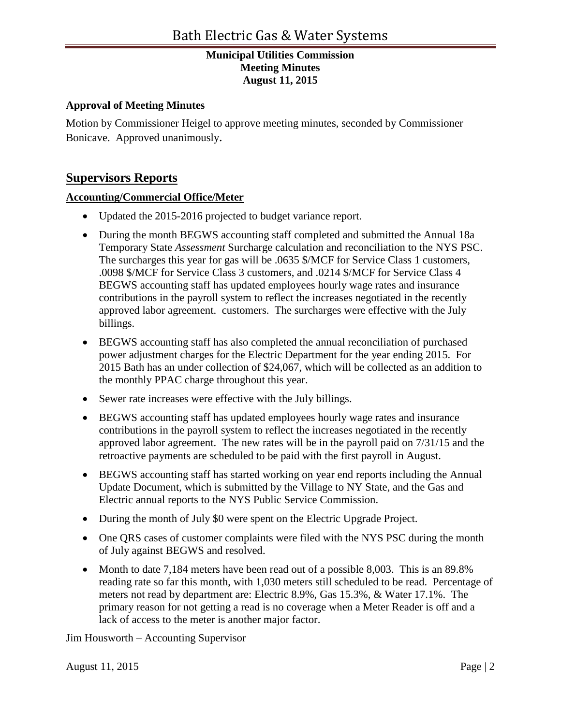## **Approval of Meeting Minutes**

Motion by Commissioner Heigel to approve meeting minutes, seconded by Commissioner Bonicave. Approved unanimously.

# **Supervisors Reports**

## **Accounting/Commercial Office/Meter**

- Updated the 2015-2016 projected to budget variance report.
- During the month BEGWS accounting staff completed and submitted the Annual 18a Temporary State *Assessment* Surcharge calculation and reconciliation to the NYS PSC. The surcharges this year for gas will be .0635 \$/MCF for Service Class 1 customers, .0098 \$/MCF for Service Class 3 customers, and .0214 \$/MCF for Service Class 4 BEGWS accounting staff has updated employees hourly wage rates and insurance contributions in the payroll system to reflect the increases negotiated in the recently approved labor agreement. customers. The surcharges were effective with the July billings.
- BEGWS accounting staff has also completed the annual reconciliation of purchased power adjustment charges for the Electric Department for the year ending 2015. For 2015 Bath has an under collection of \$24,067, which will be collected as an addition to the monthly PPAC charge throughout this year.
- Sewer rate increases were effective with the July billings.
- BEGWS accounting staff has updated employees hourly wage rates and insurance contributions in the payroll system to reflect the increases negotiated in the recently approved labor agreement. The new rates will be in the payroll paid on 7/31/15 and the retroactive payments are scheduled to be paid with the first payroll in August.
- BEGWS accounting staff has started working on year end reports including the Annual Update Document, which is submitted by the Village to NY State, and the Gas and Electric annual reports to the NYS Public Service Commission.
- During the month of July \$0 were spent on the Electric Upgrade Project.
- One QRS cases of customer complaints were filed with the NYS PSC during the month of July against BEGWS and resolved.
- Month to date 7,184 meters have been read out of a possible 8,003. This is an 89.8% reading rate so far this month, with 1,030 meters still scheduled to be read. Percentage of meters not read by department are: Electric 8.9%, Gas 15.3%, & Water 17.1%. The primary reason for not getting a read is no coverage when a Meter Reader is off and a lack of access to the meter is another major factor.

Jim Housworth – Accounting Supervisor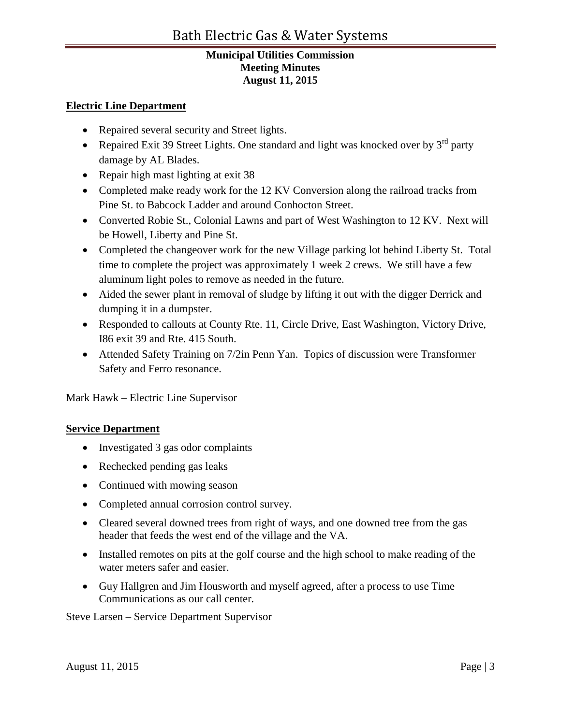### **Electric Line Department**

- Repaired several security and Street lights.
- Repaired Exit 39 Street Lights. One standard and light was knocked over by  $3<sup>rd</sup>$  party damage by AL Blades.
- Repair high mast lighting at exit 38
- Completed make ready work for the 12 KV Conversion along the railroad tracks from Pine St. to Babcock Ladder and around Conhocton Street.
- Converted Robie St., Colonial Lawns and part of West Washington to 12 KV. Next will be Howell, Liberty and Pine St.
- Completed the changeover work for the new Village parking lot behind Liberty St. Total time to complete the project was approximately 1 week 2 crews. We still have a few aluminum light poles to remove as needed in the future.
- Aided the sewer plant in removal of sludge by lifting it out with the digger Derrick and dumping it in a dumpster.
- Responded to callouts at County Rte. 11, Circle Drive, East Washington, Victory Drive, I86 exit 39 and Rte. 415 South.
- Attended Safety Training on 7/2in Penn Yan. Topics of discussion were Transformer Safety and Ferro resonance.

Mark Hawk – Electric Line Supervisor

## **Service Department**

- Investigated 3 gas odor complaints
- Rechecked pending gas leaks
- Continued with mowing season
- Completed annual corrosion control survey.
- Cleared several downed trees from right of ways, and one downed tree from the gas header that feeds the west end of the village and the VA.
- Installed remotes on pits at the golf course and the high school to make reading of the water meters safer and easier.
- Guy Hallgren and Jim Housworth and myself agreed, after a process to use Time Communications as our call center.

Steve Larsen – Service Department Supervisor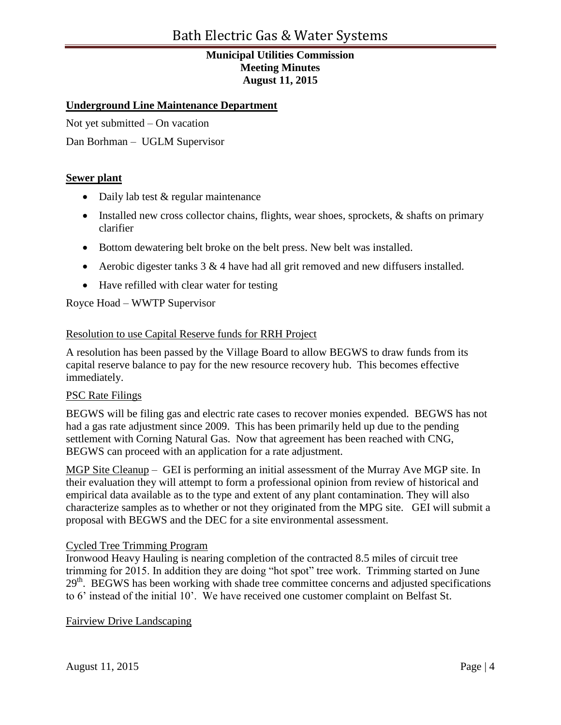## **Underground Line Maintenance Department**

Not yet submitted – On vacation

Dan Borhman – UGLM Supervisor

### **Sewer plant**

- Daily lab test & regular maintenance
- Installed new cross collector chains, flights, wear shoes, sprockets, & shafts on primary clarifier
- Bottom dewatering belt broke on the belt press. New belt was installed.
- Aerobic digester tanks  $3 & 4$  have had all grit removed and new diffusers installed.
- Have refilled with clear water for testing

Royce Hoad – WWTP Supervisor

#### Resolution to use Capital Reserve funds for RRH Project

A resolution has been passed by the Village Board to allow BEGWS to draw funds from its capital reserve balance to pay for the new resource recovery hub. This becomes effective immediately.

### PSC Rate Filings

BEGWS will be filing gas and electric rate cases to recover monies expended. BEGWS has not had a gas rate adjustment since 2009. This has been primarily held up due to the pending settlement with Corning Natural Gas. Now that agreement has been reached with CNG, BEGWS can proceed with an application for a rate adjustment.

MGP Site Cleanup – GEI is performing an initial assessment of the Murray Ave MGP site. In their evaluation they will attempt to form a professional opinion from review of historical and empirical data available as to the type and extent of any plant contamination. They will also characterize samples as to whether or not they originated from the MPG site. GEI will submit a proposal with BEGWS and the DEC for a site environmental assessment.

#### Cycled Tree Trimming Program

Ironwood Heavy Hauling is nearing completion of the contracted 8.5 miles of circuit tree trimming for 2015. In addition they are doing "hot spot" tree work. Trimming started on June 29<sup>th</sup>. BEGWS has been working with shade tree committee concerns and adjusted specifications to 6' instead of the initial 10'. We have received one customer complaint on Belfast St.

Fairview Drive Landscaping